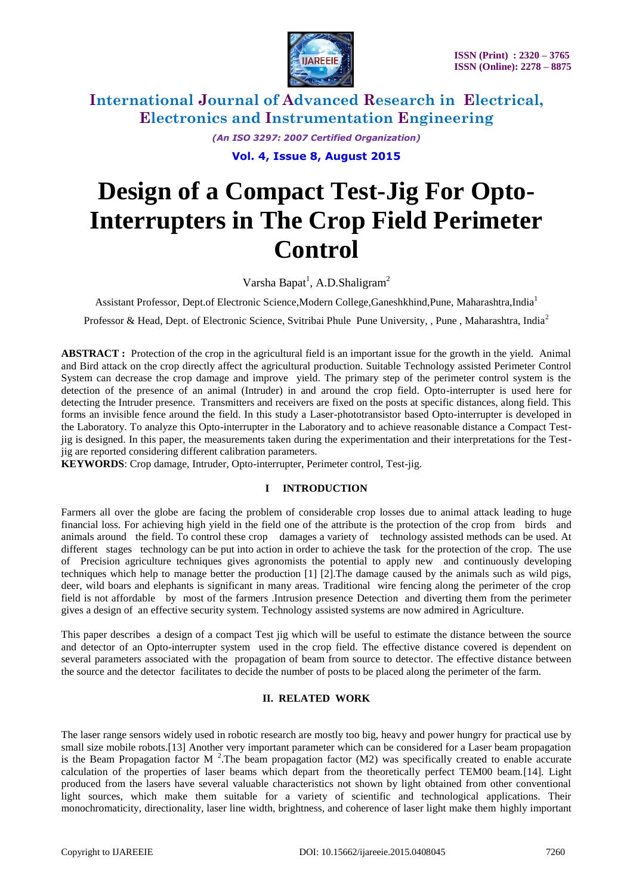

*(An ISO 3297: 2007 Certified Organization)*

**Vol. 4, Issue 8, August 2015**

# **Design of a Compact Test-Jig For Opto-Interrupters in The Crop Field Perimeter Control**

Varsha Bapat<sup>1</sup>, A.D.Shaligram<sup>2</sup>

Assistant Professor, Dept.of Electronic Science,Modern College,Ganeshkhind,Pune, Maharashtra,India<sup>1</sup>

Professor & Head, Dept. of Electronic Science, Svitribai Phule Pune University, , Pune , Maharashtra, India<sup>2</sup>

**ABSTRACT :** Protection of the crop in the agricultural field is an important issue for the growth in the yield. Animal and Bird attack on the crop directly affect the agricultural production. Suitable Technology assisted Perimeter Control System can decrease the crop damage and improve yield. The primary step of the perimeter control system is the detection of the presence of an animal (Intruder) in and around the crop field. Opto-interrupter is used here for detecting the Intruder presence. Transmitters and receivers are fixed on the posts at specific distances, along field. This forms an invisible fence around the field. In this study a Laser-phototransistor based Opto-interrupter is developed in the Laboratory. To analyze this Opto-interrupter in the Laboratory and to achieve reasonable distance a Compact Testjig is designed. In this paper, the measurements taken during the experimentation and their interpretations for the Testjig are reported considering different calibration parameters.

**KEYWORDS**: Crop damage, Intruder, Opto-interrupter, Perimeter control, Test-jig.

## **I INTRODUCTION**

Farmers all over the globe are facing the problem of considerable crop losses due to animal attack leading to huge financial loss. For achieving high yield in the field one of the attribute is the protection of the crop from birds and animals around the field. To control these crop damages a variety of technology assisted methods can be used. At different stages technology can be put into action in order to achieve the task for the protection of the crop. The use of Precision agriculture techniques gives agronomists the potential to apply new and continuously developing techniques which help to manage better the production [1] [2].The damage caused by the animals such as wild pigs, deer, wild boars and elephants is significant in many areas. Traditional wire fencing along the perimeter of the crop field is not affordable by most of the farmers .Intrusion presence Detection and diverting them from the perimeter gives a design of an effective security system. Technology assisted systems are now admired in Agriculture.

This paper describes a design of a compact Test jig which will be useful to estimate the distance between the source and detector of an Opto-interrupter system used in the crop field. The effective distance covered is dependent on several parameters associated with the propagation of beam from source to detector. The effective distance between the source and the detector facilitates to decide the number of posts to be placed along the perimeter of the farm.

## **II. RELATED WORK**

The laser range sensors widely used in robotic research are mostly too big, heavy and power hungry for practical use by small size mobile robots.<sup>[13]</sup> Another very important parameter which can be considered for a Laser beam propagation is the Beam Propagation factor M<sup>2</sup>. The beam propagation factor (M2) was specifically created to enable accurate calculation of the properties of laser beams which depart from the theoretically perfect TEM00 beam.[14]. Light produced from the lasers have several valuable characteristics not shown by light obtained from other conventional light sources, which make them suitable for a variety of scientific and technological applications. Their monochromaticity, directionality, laser line width, brightness, and coherence of laser light make them highly important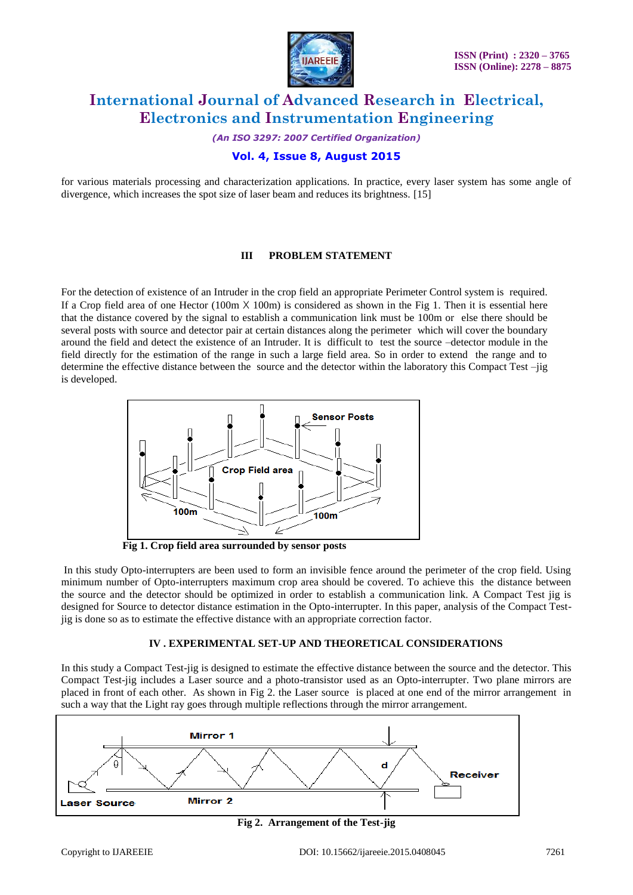

*(An ISO 3297: 2007 Certified Organization)*

## **Vol. 4, Issue 8, August 2015**

for various materials processing and characterization applications. In practice, every laser system has some angle of divergence, which increases the spot size of laser beam and reduces its brightness. [15]

### **III PROBLEM STATEMENT**

For the detection of existence of an Intruder in the crop field an appropriate Perimeter Control system is required. If a Crop field area of one Hector (100m  $\times$  100m) is considered as shown in the Fig 1. Then it is essential here that the distance covered by the signal to establish a communication link must be 100m or else there should be several posts with source and detector pair at certain distances along the perimeter which will cover the boundary around the field and detect the existence of an Intruder. It is difficult to test the source –detector module in the field directly for the estimation of the range in such a large field area. So in order to extend the range and to determine the effective distance between the source and the detector within the laboratory this Compact Test –jig is developed.



 **Fig 1. Crop field area surrounded by sensor posts**

In this study Opto-interrupters are been used to form an invisible fence around the perimeter of the crop field. Using minimum number of Opto-interrupters maximum crop area should be covered. To achieve this the distance between the source and the detector should be optimized in order to establish a communication link. A Compact Test jig is designed for Source to detector distance estimation in the Opto-interrupter. In this paper, analysis of the Compact Testjig is done so as to estimate the effective distance with an appropriate correction factor.

### **IV . EXPERIMENTAL SET-UP AND THEORETICAL CONSIDERATIONS**

In this study a Compact Test-jig is designed to estimate the effective distance between the source and the detector. This Compact Test-jig includes a Laser source and a photo-transistor used as an Opto-interrupter. Two plane mirrors are placed in front of each other. As shown in Fig 2. the Laser source is placed at one end of the mirror arrangement in such a way that the Light ray goes through multiple reflections through the mirror arrangement.



**Fig 2. Arrangement of the Test-jig**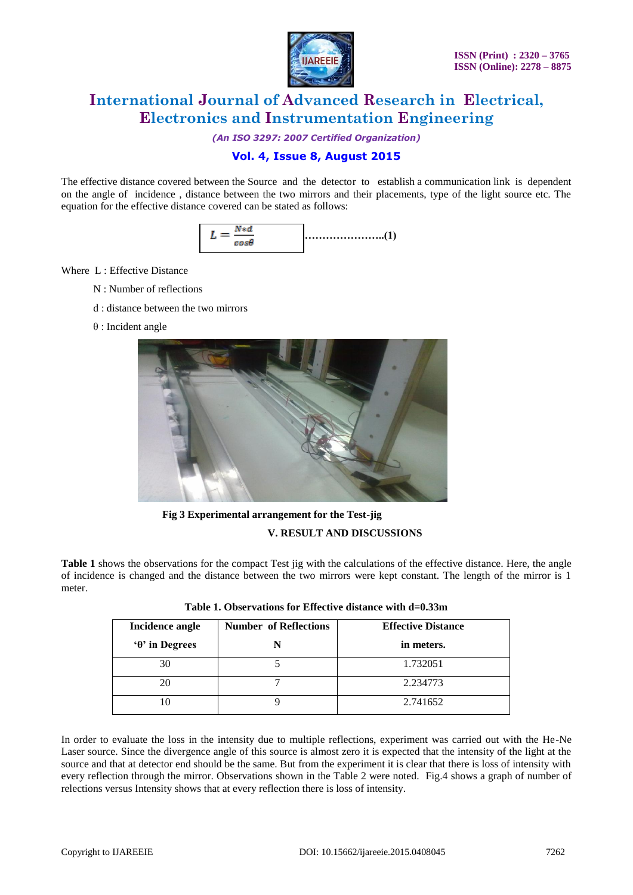

*(An ISO 3297: 2007 Certified Organization)*

# **Vol. 4, Issue 8, August 2015**

The effective distance covered between the Source and the detector to establish a communication link is dependent on the angle of incidence , distance between the two mirrors and their placements, type of the light source etc. The equation for the effective distance covered can be stated as follows:



Where L : Effective Distance

- N : Number of reflections
- d : distance between the two mirrors
- θ : Incident angle



 **Fig 3 Experimental arrangement for the Test-jig V. RESULT AND DISCUSSIONS**

**Table 1** shows the observations for the compact Test jig with the calculations of the effective distance. Here, the angle of incidence is changed and the distance between the two mirrors were kept constant. The length of the mirror is 1 meter.

| Incidence angle     | <b>Number of Reflections</b> | <b>Effective Distance</b> |
|---------------------|------------------------------|---------------------------|
| $\theta$ in Degrees |                              | in meters.                |
| 30                  |                              | 1.732051                  |
| 20                  |                              | 2.234773                  |
|                     |                              | 2.741652                  |

| Table 1. Observations for Effective distance with d=0.33m |  |  |  |  |  |
|-----------------------------------------------------------|--|--|--|--|--|
|-----------------------------------------------------------|--|--|--|--|--|

In order to evaluate the loss in the intensity due to multiple reflections, experiment was carried out with the He-Ne Laser source. Since the divergence angle of this source is almost zero it is expected that the intensity of the light at the source and that at detector end should be the same. But from the experiment it is clear that there is loss of intensity with every reflection through the mirror. Observations shown in the Table 2 were noted. Fig.4 shows a graph of number of relections versus Intensity shows that at every reflection there is loss of intensity.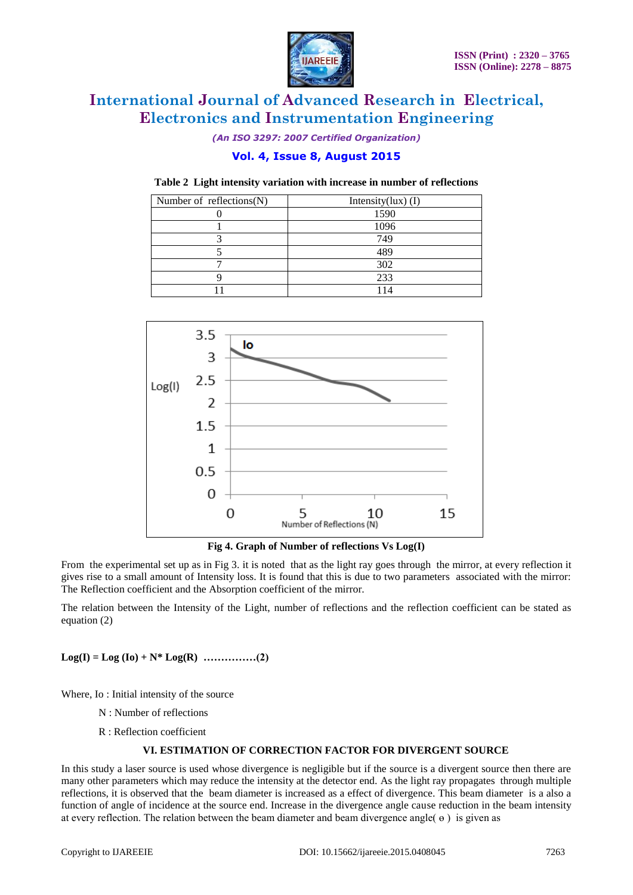

*(An ISO 3297: 2007 Certified Organization)*

# **Vol. 4, Issue 8, August 2015**

**Table 2 Light intensity variation with increase in number of reflections**

| Number of reflections $(N)$ | Intensity $(lux)$ (I) |  |
|-----------------------------|-----------------------|--|
|                             | 1590                  |  |
|                             | 1096                  |  |
|                             | 749                   |  |
|                             | 489                   |  |
|                             | 302                   |  |
|                             | 233                   |  |
|                             |                       |  |



**Fig 4. Graph of Number of reflections Vs Log(I)**

From the experimental set up as in Fig 3. it is noted that as the light ray goes through the mirror, at every reflection it gives rise to a small amount of Intensity loss. It is found that this is due to two parameters associated with the mirror: The Reflection coefficient and the Absorption coefficient of the mirror.

The relation between the Intensity of the Light, number of reflections and the reflection coefficient can be stated as equation (2)

 $Log(I) = Log (Io) + N^* Log(R)$  **……………(2)** 

Where, Io : Initial intensity of the source

- N : Number of reflections
- R : Reflection coefficient

## **VI. ESTIMATION OF CORRECTION FACTOR FOR DIVERGENT SOURCE**

In this study a laser source is used whose divergence is negligible but if the source is a divergent source then there are many other parameters which may reduce the intensity at the detector end. As the light ray propagates through multiple reflections, it is observed that the beam diameter is increased as a effect of divergence. This beam diameter is a also a function of angle of incidence at the source end. Increase in the divergence angle cause reduction in the beam intensity at every reflection. The relation between the beam diameter and beam divergence angle( $\theta$ ) is given as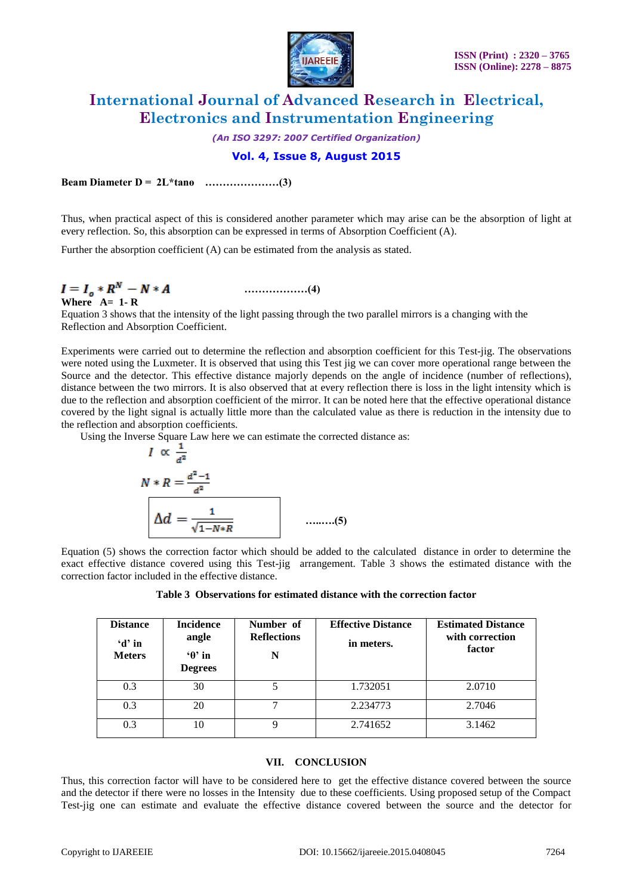

*(An ISO 3297: 2007 Certified Organization)*

# **Vol. 4, Issue 8, August 2015**

**Beam Diameter D = 2L\*tanө …………………(3)**

Thus, when practical aspect of this is considered another parameter which may arise can be the absorption of light at every reflection. So, this absorption can be expressed in terms of Absorption Coefficient (A).

Further the absorption coefficient (A) can be estimated from the analysis as stated.

# **………………(4)**

**Where A= 1- R**

Equation 3 shows that the intensity of the light passing through the two parallel mirrors is a changing with the Reflection and Absorption Coefficient.

Experiments were carried out to determine the reflection and absorption coefficient for this Test-jig. The observations were noted using the Luxmeter. It is observed that using this Test jig we can cover more operational range between the Source and the detector. This effective distance majorly depends on the angle of incidence (number of reflections), distance between the two mirrors. It is also observed that at every reflection there is loss in the light intensity which is due to the reflection and absorption coefficient of the mirror. It can be noted here that the effective operational distance covered by the light signal is actually little more than the calculated value as there is reduction in the intensity due to the reflection and absorption coefficients.

Using the Inverse Square Law here we can estimate the corrected distance as:

$$
I \propto \frac{1}{a^2}
$$
  

$$
N * R = \frac{a^2 - 1}{a^2}
$$
  

$$
\Delta d = \frac{1}{\sqrt{1 - N * R}}
$$
 ......(5)

Equation (5) shows the correction factor which should be added to the calculated distance in order to determine the exact effective distance covered using this Test-jig arrangement. Table 3 shows the estimated distance with the correction factor included in the effective distance.

|  |  |  |  | Table 3 Observations for estimated distance with the correction factor |
|--|--|--|--|------------------------------------------------------------------------|
|--|--|--|--|------------------------------------------------------------------------|

| <b>Distance</b><br>$d'$ in<br><b>Meters</b> | <b>Incidence</b><br>angle<br>$\Theta$ in<br><b>Degrees</b> | Number of<br><b>Reflections</b><br>N | <b>Effective Distance</b><br>in meters. | <b>Estimated Distance</b><br>with correction<br>factor |
|---------------------------------------------|------------------------------------------------------------|--------------------------------------|-----------------------------------------|--------------------------------------------------------|
| 0.3                                         | 30                                                         |                                      | 1.732051                                | 2.0710                                                 |
| 0.3                                         | 20                                                         |                                      | 2.234773                                | 2.7046                                                 |
| 0.3                                         | 10                                                         | Q                                    | 2.741652                                | 3.1462                                                 |

## **VII. CONCLUSION**

Thus, this correction factor will have to be considered here to get the effective distance covered between the source and the detector if there were no losses in the Intensity due to these coefficients. Using proposed setup of the Compact Test-jig one can estimate and evaluate the effective distance covered between the source and the detector for